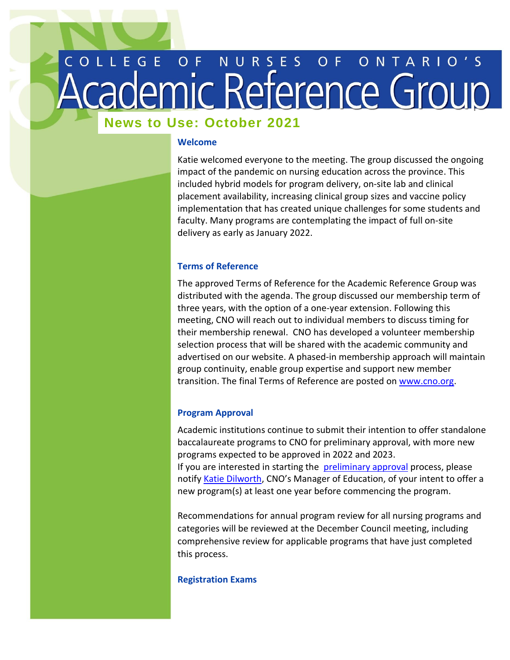# COLLEGE OF NURSES OF ONTARIO'S

# **Welcome Back News to Use: October 2021**

### **Welcome**

Katie welcomed everyone to the meeting. The group discussed the ongoing impact of the pandemic on nursing education across the province. This included hybrid models for program delivery, on-site lab and clinical placement availability, increasing clinical group sizes and vaccine policy implementation that has created unique challenges for some students and faculty. Many programs are contemplating the impact of full on-site delivery as early as January 2022.

# **Terms of Reference**

The approved Terms of Reference for the Academic Reference Group was distributed with the agenda. The group discussed our membership term of three years, with the option of a one-year extension. Following this meeting, CNO will reach out to individual members to discuss timing for their membership renewal. CNO has developed a volunteer membership selection process that will be shared with the academic community and advertised on our website. A phased-in membership approach will maintain group continuity, enable group expertise and support new member transition. The final Terms of Reference are posted on [www.cno.org.](http://www.cno.org/) 

# **Program Approval**

Academic institutions continue to submit their intention to offer standalone baccalaureate programs to CNO for preliminary approval, with more new programs expected to be approved in 2022 and 2023. If you are interested in starting the [preliminary approval](https://www.cno.org/en/become-a-nurse/nursing-education-program-approval/) process, please notify [Katie Dilworth](mailto:kdilworth@cnomail.org), CNO's Manager of Education, of your intent to offer a new program(s) at least one year before commencing the program.

Recommendations for annual program review for all nursing programs and categories will be reviewed at the December Council meeting, including comprehensive review for applicable programs that have just completed this process.

## **Registration Exams**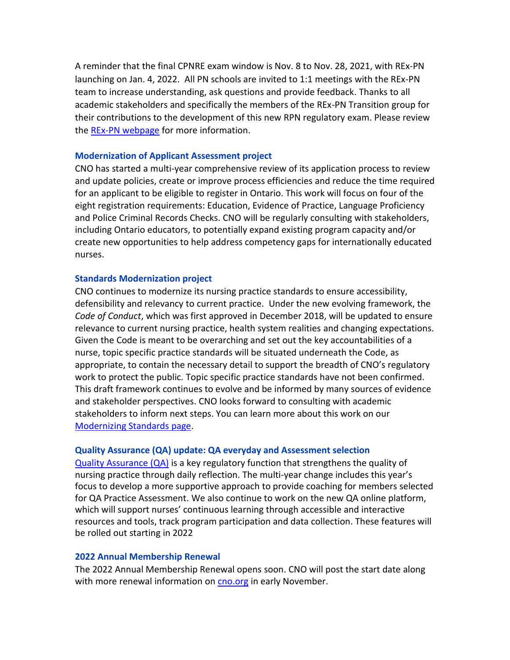A reminder that the final CPNRE exam window is Nov. 8 to Nov. 28, 2021, with REx-PN launching on Jan. 4, 2022. All PN schools are invited to 1:1 meetings with the REx-PN team to increase understanding, ask questions and provide feedback. Thanks to all academic stakeholders and specifically the members of the REx-PN Transition group for their contributions to the development of this new RPN regulatory exam. Please review the REx-PN [webpage](https://www.cno.org/en/trending-topics/updating-rpn-competencies-and-exam/) for more information.

#### **Modernization of Applicant Assessment project**

CNO has started a multi-year comprehensive review of its application process to review and update policies, create or improve process efficiencies and reduce the time required for an applicant to be eligible to register in Ontario. This work will focus on four of the eight registration requirements: Education, Evidence of Practice, Language Proficiency and Police Criminal Records Checks. CNO will be regularly consulting with stakeholders, including Ontario educators, to potentially expand existing program capacity and/or create new opportunities to help address competency gaps for internationally educated nurses.

#### **Standards Modernization project**

CNO continues to modernize its nursing practice standards to ensure accessibility, defensibility and relevancy to current practice. Under the new evolving framework, the *Code of Conduct*, which was first approved in December 2018, will be updated to ensure relevance to current nursing practice, health system realities and changing expectations. Given the Code is meant to be overarching and set out the key accountabilities of a nurse, topic specific practice standards will be situated underneath the Code, as appropriate, to contain the necessary detail to support the breadth of CNO's regulatory work to protect the public. Topic specific practice standards have not been confirmed. This draft framework continues to evolve and be informed by many sources of evidence and stakeholder perspectives. CNO looks forward to consulting with academic stakeholders to inform next steps. You can learn more about this work on our [Modernizing Standards page.](https://www.cno.org/en/trending-topics/modernizing-standards/) 

#### **Quality Assurance (QA) update: QA everyday and Assessment selection**

[Quality Assurance \(QA\)](https://www.cno.org/en/myqa/) is a key regulatory function that strengthens the quality of nursing practice through daily reflection. The multi-year change includes this year's focus to develop a more supportive approach to provide coaching for members selected for QA Practice Assessment. We also continue to work on the new QA online platform, which will support nurses' continuous learning through accessible and interactive resources and tools, track program participation and data collection. These features will be rolled out starting in 2022

#### **2022 Annual Membership Renewal**

The 2022 Annual Membership Renewal opens soon. CNO will post the start date along with more renewal information on [cno.org](https://www.cno.org/en/maintain-your-membership1/annual-membership-renewal/) in early November.